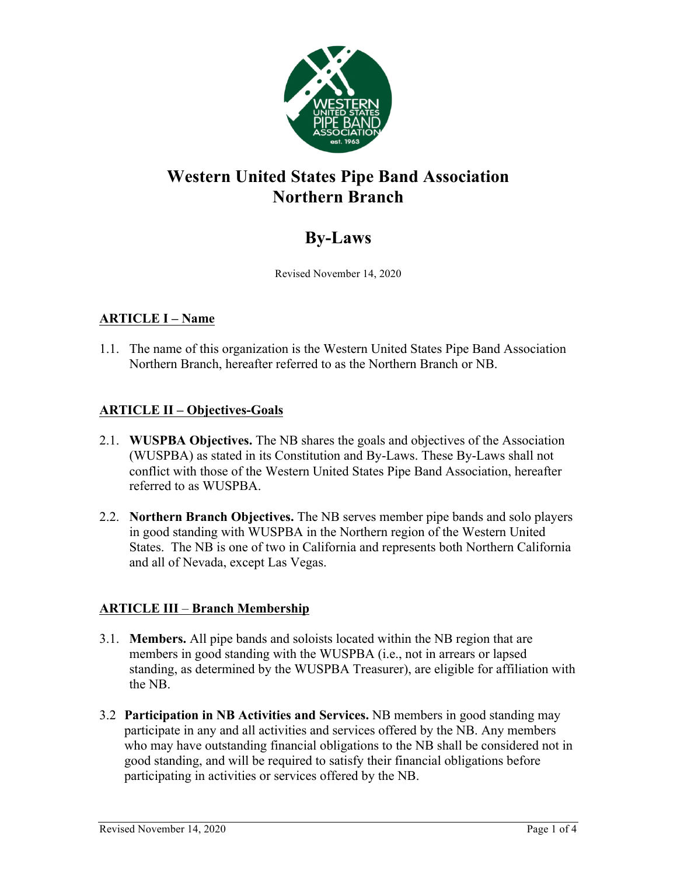

## **Western United States Pipe Band Association Northern Branch**

# **By-Laws**

Revised November 14, 2020

### **ARTICLE I – Name**

1.1. The name of this organization is the Western United States Pipe Band Association Northern Branch, hereafter referred to as the Northern Branch or NB.

### **ARTICLE II – Objectives-Goals**

- 2.1. **WUSPBA Objectives.** The NB shares the goals and objectives of the Association (WUSPBA) as stated in its Constitution and By-Laws. These By-Laws shall not conflict with those of the Western United States Pipe Band Association, hereafter referred to as WUSPBA.
- 2.2. **Northern Branch Objectives.** The NB serves member pipe bands and solo players in good standing with WUSPBA in the Northern region of the Western United States. The NB is one of two in California and represents both Northern California and all of Nevada, except Las Vegas.

## **ARTICLE III** – **Branch Membership**

- 3.1. **Members.** All pipe bands and soloists located within the NB region that are members in good standing with the WUSPBA (i.e., not in arrears or lapsed standing, as determined by the WUSPBA Treasurer), are eligible for affiliation with the NB.
- 3.2 **Participation in NB Activities and Services.** NB members in good standing may participate in any and all activities and services offered by the NB. Any members who may have outstanding financial obligations to the NB shall be considered not in good standing, and will be required to satisfy their financial obligations before participating in activities or services offered by the NB.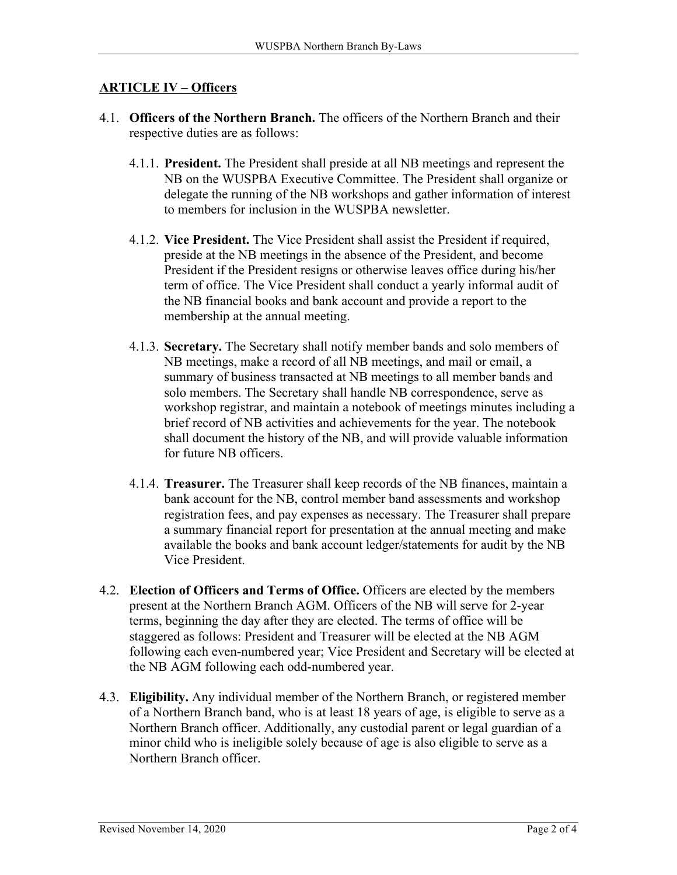#### **ARTICLE IV – Officers**

- 4.1. **Officers of the Northern Branch.** The officers of the Northern Branch and their respective duties are as follows:
	- 4.1.1. **President.** The President shall preside at all NB meetings and represent the NB on the WUSPBA Executive Committee. The President shall organize or delegate the running of the NB workshops and gather information of interest to members for inclusion in the WUSPBA newsletter.
	- 4.1.2. **Vice President.** The Vice President shall assist the President if required, preside at the NB meetings in the absence of the President, and become President if the President resigns or otherwise leaves office during his/her term of office. The Vice President shall conduct a yearly informal audit of the NB financial books and bank account and provide a report to the membership at the annual meeting.
	- 4.1.3. **Secretary.** The Secretary shall notify member bands and solo members of NB meetings, make a record of all NB meetings, and mail or email, a summary of business transacted at NB meetings to all member bands and solo members. The Secretary shall handle NB correspondence, serve as workshop registrar, and maintain a notebook of meetings minutes including a brief record of NB activities and achievements for the year. The notebook shall document the history of the NB, and will provide valuable information for future NB officers.
	- 4.1.4. **Treasurer.** The Treasurer shall keep records of the NB finances, maintain a bank account for the NB, control member band assessments and workshop registration fees, and pay expenses as necessary. The Treasurer shall prepare a summary financial report for presentation at the annual meeting and make available the books and bank account ledger/statements for audit by the NB Vice President.
- 4.2. **Election of Officers and Terms of Office.** Officers are elected by the members present at the Northern Branch AGM. Officers of the NB will serve for 2-year terms, beginning the day after they are elected. The terms of office will be staggered as follows: President and Treasurer will be elected at the NB AGM following each even-numbered year; Vice President and Secretary will be elected at the NB AGM following each odd-numbered year.
- 4.3. **Eligibility.** Any individual member of the Northern Branch, or registered member of a Northern Branch band, who is at least 18 years of age, is eligible to serve as a Northern Branch officer. Additionally, any custodial parent or legal guardian of a minor child who is ineligible solely because of age is also eligible to serve as a Northern Branch officer.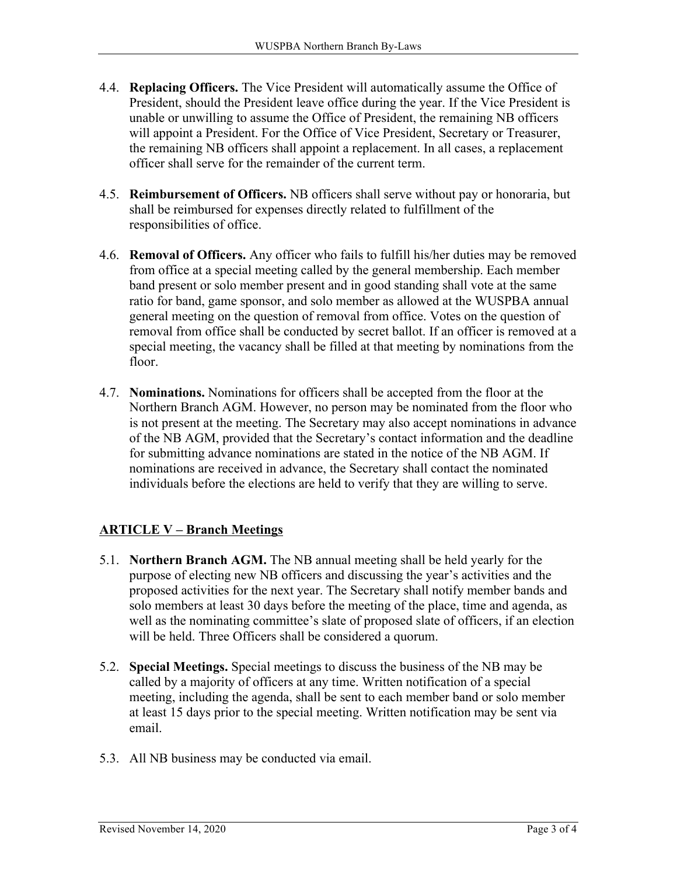- 4.4. **Replacing Officers.** The Vice President will automatically assume the Office of President, should the President leave office during the year. If the Vice President is unable or unwilling to assume the Office of President, the remaining NB officers will appoint a President. For the Office of Vice President, Secretary or Treasurer, the remaining NB officers shall appoint a replacement. In all cases, a replacement officer shall serve for the remainder of the current term.
- 4.5. **Reimbursement of Officers.** NB officers shall serve without pay or honoraria, but shall be reimbursed for expenses directly related to fulfillment of the responsibilities of office.
- 4.6. **Removal of Officers.** Any officer who fails to fulfill his/her duties may be removed from office at a special meeting called by the general membership. Each member band present or solo member present and in good standing shall vote at the same ratio for band, game sponsor, and solo member as allowed at the WUSPBA annual general meeting on the question of removal from office. Votes on the question of removal from office shall be conducted by secret ballot. If an officer is removed at a special meeting, the vacancy shall be filled at that meeting by nominations from the floor.
- 4.7. **Nominations.** Nominations for officers shall be accepted from the floor at the Northern Branch AGM. However, no person may be nominated from the floor who is not present at the meeting. The Secretary may also accept nominations in advance of the NB AGM, provided that the Secretary's contact information and the deadline for submitting advance nominations are stated in the notice of the NB AGM. If nominations are received in advance, the Secretary shall contact the nominated individuals before the elections are held to verify that they are willing to serve.

## **ARTICLE V – Branch Meetings**

- 5.1. **Northern Branch AGM.** The NB annual meeting shall be held yearly for the purpose of electing new NB officers and discussing the year's activities and the proposed activities for the next year. The Secretary shall notify member bands and solo members at least 30 days before the meeting of the place, time and agenda, as well as the nominating committee's slate of proposed slate of officers, if an election will be held. Three Officers shall be considered a quorum.
- 5.2. **Special Meetings.** Special meetings to discuss the business of the NB may be called by a majority of officers at any time. Written notification of a special meeting, including the agenda, shall be sent to each member band or solo member at least 15 days prior to the special meeting. Written notification may be sent via email.
- 5.3. All NB business may be conducted via email.